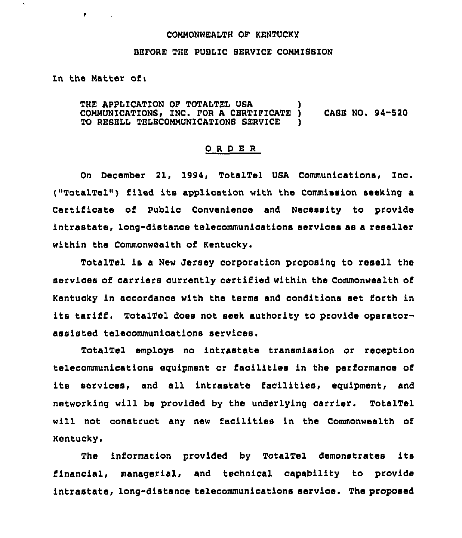## COMMONWEALTH OF KENTUCKY

## BEFORE THE PUBLIC SERVICE COMMISSION

In the Matter of:

r.

THE APPLICATION OF TOTALTEL USA COMMUNICATIONS, INC. FOR A CERTIFICATE ) CASE NO. 94-520 TO RESELL TELECOMMUNICATIONS SERVICE

## ORDER

On December 21, 1994, TotalTel USA Communications, Inc. ("TotalTel") filed its application with the Commission seeking a Certificate of Public Convenience and Necessity to provide intrastate, long-distance telecommunications services as a reseller within the Commonwealth of Kentucky.

TotalTel is a New Jersey corporation proposing to resell the services of carriers currently certified within the Commonwealth of Kentucky in accordance with the terms and conditions set forth in its tariff. TotalTel does not seek authority to provide operatorassisted telecommunications services.

TotalTel employs no intrastate transmission or reception telecommunications eguipment or facilities in the performance of its services, and all intrastate facilities, eguipment, and networking will be provided by the underlying carrier. TotalTel will not construct any new facilities in the Commonwealth of Kentucky.

The information provided by TotalTel demonstrates its financial, managerial, and technical capability to provide intrastate, long-distance telecommunications service. The proposed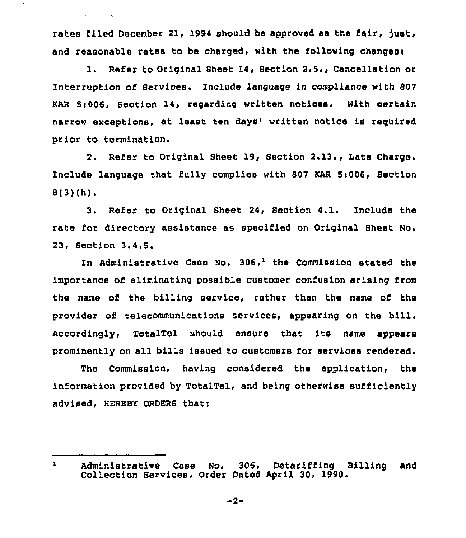rates filed December 21, 1994 should be approved as the fair, just, and reasonable rates to be charged, with the following changes:

 $\bullet$ 

1. Refer to Original Sheet 14, Section 2.5., Cancellation or Interruption of Services. Include language in compliance with 807 KAR 5:006, Section 14, regarding written notices. With certain narrow exceptions, at least ten days' written notice is required prior to termination.

2. Refer to Original Sheet 19, Section 2.13., Late Charge Include language that fully compiles with 807 KAR 5t006, Section  $8(3)(h)$ .

3. Refer to Original Sheet 24, Section 4.1<sup>~</sup> Include the rate for directory assistance as specified on Original Sheet No. 23, Section 3.4.5.

In Administrative Case No.  $306<sub>1</sub><sup>1</sup>$  the Commission stated the importance of eliminating possible customer confusion arising from the name of the billing service, rather than the name of the provider of telecommunications services, appearing on the bill. Accordingly, TotalTel should ensure that its name appears prominently on all bills issued to customers for services rendered.

The Commission, having considered the application, the information provided by TotalTel, and being otherwise sufficiently advised, HEREBY QRDERB that:

 $-2-$ 

 $\mathbf{I}$ Administrative Case No. 306, Detariffing Billing and Collection Services, Order Dated April 30, 1990.